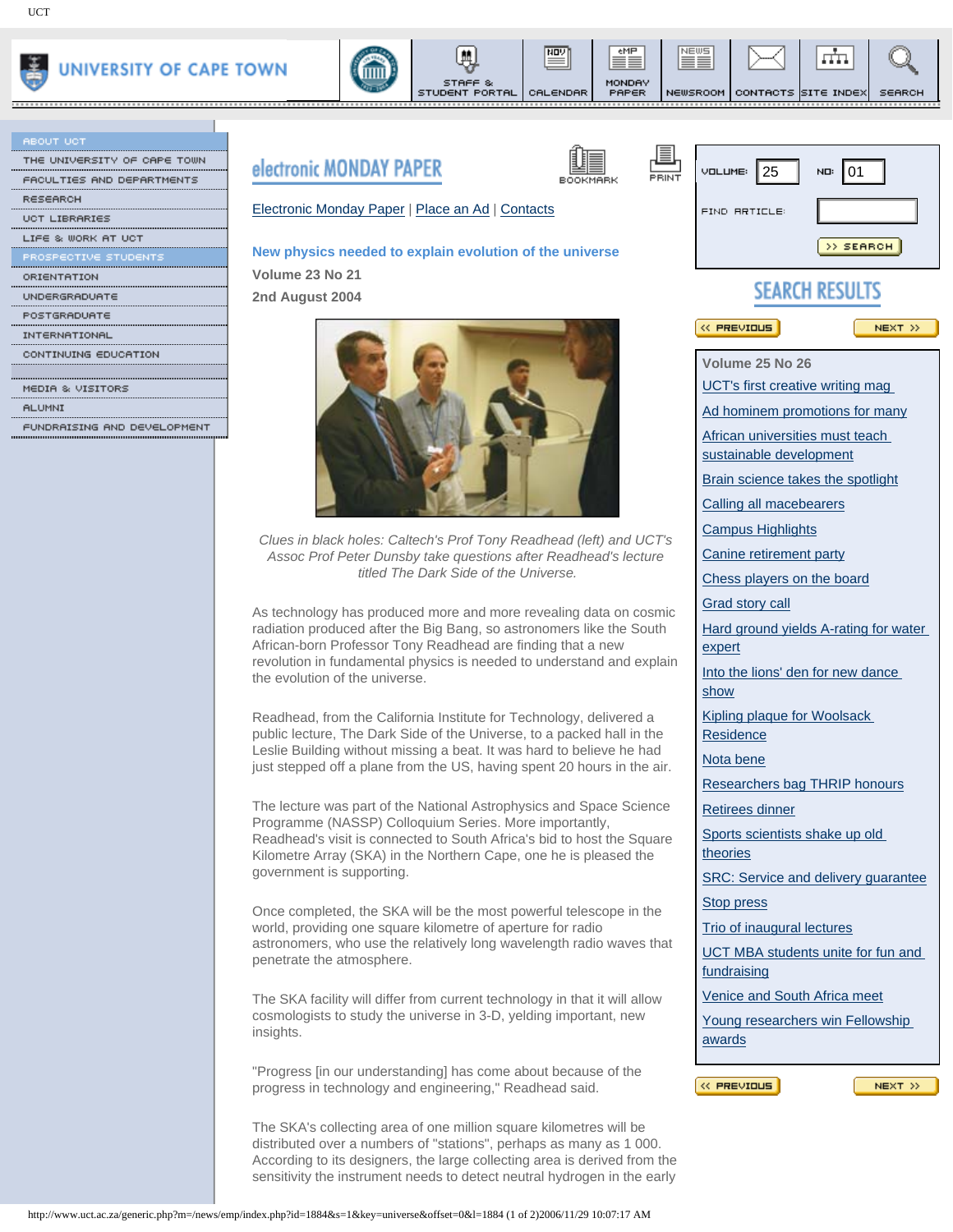

| <b>ABOUT UCT</b>            |
|-----------------------------|
| THE UNIVERSITY OF CAPE TOWN |
| FACULTIES AND DEPARTMENTS   |
| <b>RESEARCH</b>             |
| UCT LIBRARIES               |
| LIFE & WORK AT UCT          |
| PROSPECTIVE STUDENTS        |
| ORIENTATION                 |
| UNDERGRADUATE               |
| POSTGRADUATE                |
| INTERNATIONAL               |
| CONTINUING EDUCATION        |





들

CALENDAR

eMP

MONDAY<br>PAPER

,,,,,,,,,,,,

NEWS

≡≡

,,,,,,,,,,,,

NEWSROOM CONTACTS SITE INDEX

,,,,,,,,,,,,

л'n.

<u>............</u>

SEARCH

|                                      | <b>electronic MUNDAT PAPEK</b>                                                                                                                                                                                                                                                                                      | $V$ DLUME: 25<br>NO: 01                    |
|--------------------------------------|---------------------------------------------------------------------------------------------------------------------------------------------------------------------------------------------------------------------------------------------------------------------------------------------------------------------|--------------------------------------------|
| ACULTIES AND DEPARTMENTS<br>∖ESEARCH | BOOKMARK                                                                                                                                                                                                                                                                                                            | PRINT                                      |
| <b>ICT LIBRARIES</b>                 | Electronic Monday Paper   Place an Ad   Contacts                                                                                                                                                                                                                                                                    | <b>FIND RRTICLE:</b>                       |
| WORK AT UCT                          |                                                                                                                                                                                                                                                                                                                     |                                            |
| OTIVE STUDENTS                       | New physics needed to explain evolution of the universe                                                                                                                                                                                                                                                             | >> SEARCH                                  |
|                                      | Volume 23 No 21                                                                                                                                                                                                                                                                                                     |                                            |
| INDERGRADUATE                        | 2nd August 2004                                                                                                                                                                                                                                                                                                     | <b>SEARCH RESULTS</b>                      |
|                                      |                                                                                                                                                                                                                                                                                                                     |                                            |
|                                      |                                                                                                                                                                                                                                                                                                                     | <b>K PREVIOUS</b><br>NEXT >>               |
| ONTINUING EDUCATION:                 |                                                                                                                                                                                                                                                                                                                     |                                            |
|                                      |                                                                                                                                                                                                                                                                                                                     | Volume 25 No 26                            |
| IEDIA & VISITORS                     |                                                                                                                                                                                                                                                                                                                     | UCT's first creative writing mag           |
| ILUMNI                               |                                                                                                                                                                                                                                                                                                                     | Ad hominem promotions for many             |
| UNDRAISING AND DEVELOPMENT           |                                                                                                                                                                                                                                                                                                                     | African universities must teach            |
|                                      |                                                                                                                                                                                                                                                                                                                     | sustainable development                    |
|                                      |                                                                                                                                                                                                                                                                                                                     | Brain science takes the spotlight          |
|                                      |                                                                                                                                                                                                                                                                                                                     |                                            |
|                                      |                                                                                                                                                                                                                                                                                                                     | Calling all macebearers                    |
|                                      | Clues in black holes: Caltech's Prof Tony Readhead (left) and UCT's<br>Assoc Prof Peter Dunsby take questions after Readhead's lecture<br>titled The Dark Side of the Universe.                                                                                                                                     | <b>Campus Highlights</b>                   |
|                                      |                                                                                                                                                                                                                                                                                                                     | Canine retirement party                    |
|                                      |                                                                                                                                                                                                                                                                                                                     | Chess players on the board                 |
|                                      |                                                                                                                                                                                                                                                                                                                     | Grad story call                            |
|                                      | As technology has produced more and more revealing data on cosmic<br>radiation produced after the Big Bang, so astronomers like the South<br>African-born Professor Tony Readhead are finding that a new<br>revolution in fundamental physics is needed to understand and explain<br>the evolution of the universe. | Hard ground yields A-rating for water      |
|                                      |                                                                                                                                                                                                                                                                                                                     | expert                                     |
|                                      |                                                                                                                                                                                                                                                                                                                     | Into the lions' den for new dance          |
|                                      |                                                                                                                                                                                                                                                                                                                     | show                                       |
|                                      | Readhead, from the California Institute for Technology, delivered a                                                                                                                                                                                                                                                 | Kipling plaque for Woolsack                |
|                                      | public lecture, The Dark Side of the Universe, to a packed hall in the                                                                                                                                                                                                                                              | Residence                                  |
|                                      | Leslie Building without missing a beat. It was hard to believe he had                                                                                                                                                                                                                                               | Nota bene                                  |
|                                      | just stepped off a plane from the US, having spent 20 hours in the air.                                                                                                                                                                                                                                             | Researchers bag THRIP honours              |
|                                      | The lecture was part of the National Astrophysics and Space Science                                                                                                                                                                                                                                                 |                                            |
|                                      | Programme (NASSP) Colloquium Series. More importantly,                                                                                                                                                                                                                                                              | <b>Retirees dinner</b>                     |
|                                      | Readhead's visit is connected to South Africa's bid to host the Square                                                                                                                                                                                                                                              | Sports scientists shake up old             |
|                                      | Kilometre Array (SKA) in the Northern Cape, one he is pleased the                                                                                                                                                                                                                                                   | theories                                   |
|                                      | government is supporting.                                                                                                                                                                                                                                                                                           | SRC: Service and delivery guarantee        |
|                                      | Once completed, the SKA will be the most powerful telescope in the<br>world, providing one square kilometre of aperture for radio<br>astronomers, who use the relatively long wavelength radio waves that<br>penetrate the atmosphere.                                                                              | Stop press                                 |
|                                      |                                                                                                                                                                                                                                                                                                                     | Trio of inaugural lectures                 |
|                                      |                                                                                                                                                                                                                                                                                                                     | UCT MBA students unite for fun and         |
|                                      |                                                                                                                                                                                                                                                                                                                     | fundraising                                |
|                                      |                                                                                                                                                                                                                                                                                                                     | Venice and South Africa meet               |
|                                      | The SKA facility will differ from current technology in that it will allow<br>cosmologists to study the universe in 3-D, yelding important, new<br>insights.                                                                                                                                                        |                                            |
|                                      |                                                                                                                                                                                                                                                                                                                     | Young researchers win Fellowship<br>awards |
|                                      |                                                                                                                                                                                                                                                                                                                     |                                            |
|                                      | "Progress [in our understanding] has come about because of the                                                                                                                                                                                                                                                      |                                            |
|                                      | progress in technology and engineering," Readhead said.                                                                                                                                                                                                                                                             | $\ll$ PREVIOUS<br>NEXT >>                  |
|                                      | The SKA's collecting area of one million square kilometres will be                                                                                                                                                                                                                                                  |                                            |
|                                      | distributed over a numbers of "stations", perhaps as many as 1 000.                                                                                                                                                                                                                                                 |                                            |
|                                      | According to its designers, the large collecting area is derived from the                                                                                                                                                                                                                                           |                                            |
|                                      | sensitivity the instrument needs to detect neutral hydrogen in the early                                                                                                                                                                                                                                            |                                            |
|                                      |                                                                                                                                                                                                                                                                                                                     |                                            |
|                                      | http://www.uct.ac.za/generic.php?m=/news/emp/index.php?id=1884&s=1&key=universe&offset=0&l=1884 (1 of 2)2006/11/29 10:07:17 AM                                                                                                                                                                                      |                                            |

## **New physics needed to explain evolution of the universe**

STUDENT PORTAL